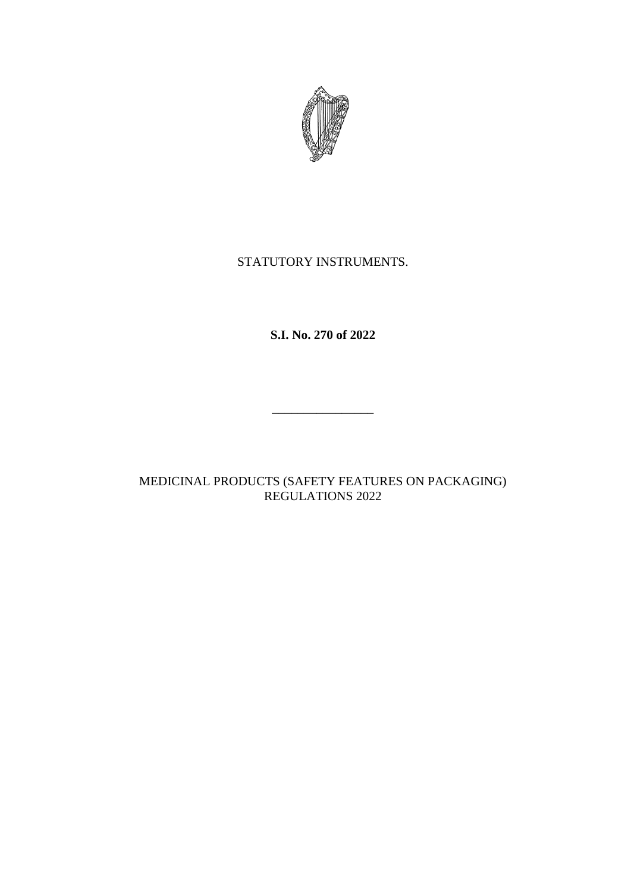

# STATUTORY INSTRUMENTS.

# **S.I. No. 270 of 2022**

# MEDICINAL PRODUCTS (SAFETY FEATURES ON PACKAGING) REGULATIONS 2022

\_\_\_\_\_\_\_\_\_\_\_\_\_\_\_\_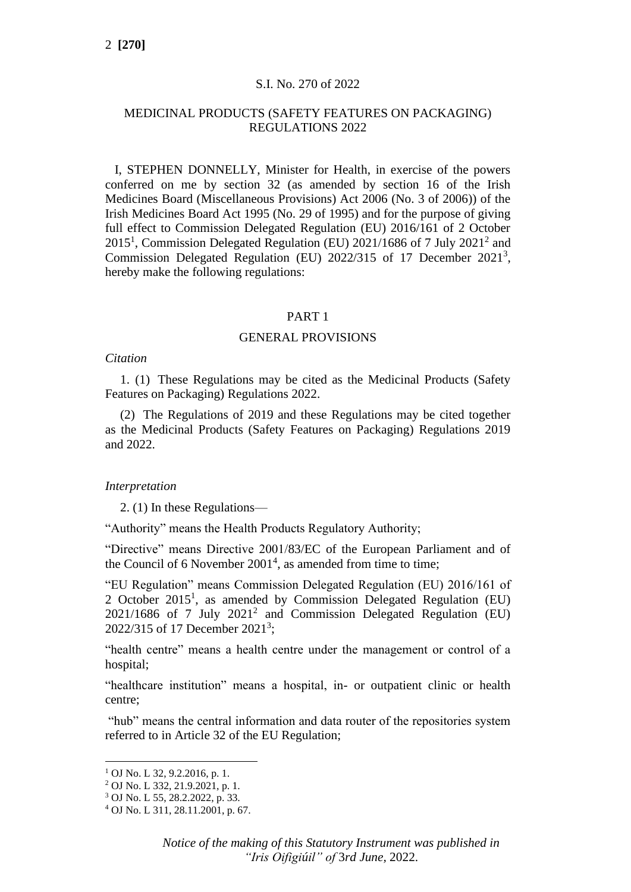## S.I. No. 270 of 2022

## MEDICINAL PRODUCTS (SAFETY FEATURES ON PACKAGING) REGULATIONS 2022

I, STEPHEN DONNELLY, Minister for Health, in exercise of the powers conferred on me by section 32 (as amended by section 16 of the Irish Medicines Board (Miscellaneous Provisions) Act 2006 (No. 3 of 2006)) of the Irish Medicines Board Act 1995 (No. 29 of 1995) and for the purpose of giving full effect to Commission Delegated Regulation (EU) 2016/161 of 2 October  $2015<sup>1</sup>$ , Commission Delegated Regulation (EU) 2021/1686 of 7 July 2021<sup>2</sup> and Commission Delegated Regulation (EU) 2022/315 of 17 December 2021<sup>3</sup>, hereby make the following regulations:

#### PART 1

#### GENERAL PROVISIONS

## *Citation*

1. (1) These Regulations may be cited as the Medicinal Products (Safety Features on Packaging) Regulations 2022.

(2) The Regulations of 2019 and these Regulations may be cited together as the Medicinal Products (Safety Features on Packaging) Regulations 2019 and 2022.

### *Interpretation*

2. (1) In these Regulations—

"Authority" means the Health Products Regulatory Authority;

"Directive" means Directive 2001/83/EC of the European Parliament and of the Council of 6 November 2001<sup>4</sup>, as amended from time to time;

"EU Regulation" means Commission Delegated Regulation (EU) 2016/161 of 2 October 2015<sup>1</sup>, as amended by Commission Delegated Regulation (EU)  $2021/1686$  of 7 July  $2021<sup>2</sup>$  and Commission Delegated Regulation (EU) 2022/315 of 17 December 2021<sup>3</sup>;

"health centre" means a health centre under the management or control of a hospital;

"healthcare institution" means a hospital, in- or outpatient clinic or health centre;

"hub" means the central information and data router of the repositories system referred to in Article 32 of the EU Regulation;

 $1$  OJ No. L 32, 9.2.2016, p. 1.

<sup>2</sup> OJ No. L 332, 21.9.2021, p. 1.

<sup>3</sup> OJ No. L 55, 28.2.2022, p. 33.

<sup>4</sup> OJ No. L 311, 28.11.2001, p. 67.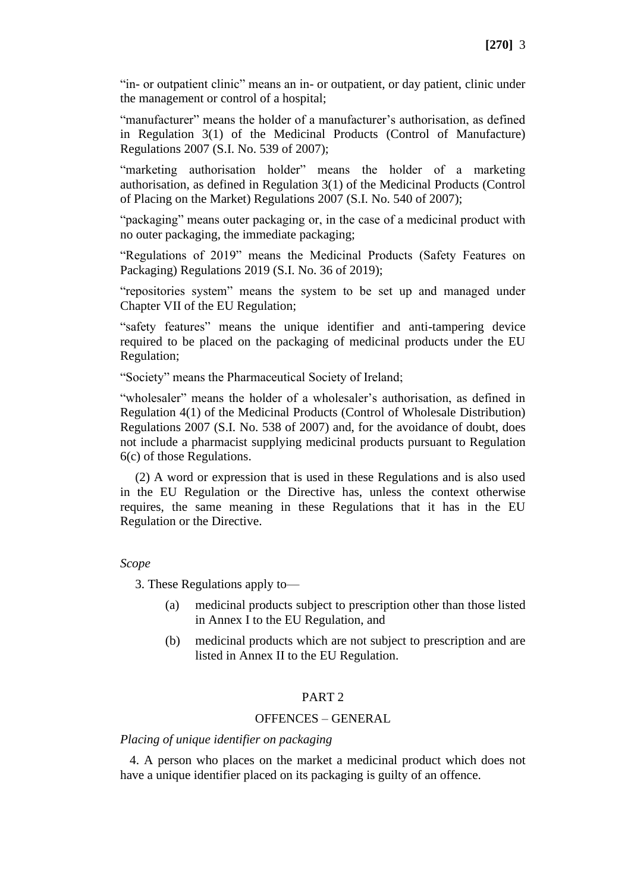"in- or outpatient clinic" means an in- or outpatient, or day patient, clinic under the management or control of a hospital;

"manufacturer" means the holder of a manufacturer's authorisation, as defined in Regulation 3(1) of the Medicinal Products (Control of Manufacture) Regulations 2007 (S.I. No. 539 of 2007);

"marketing authorisation holder" means the holder of a marketing authorisation, as defined in Regulation 3(1) of the Medicinal Products (Control of Placing on the Market) Regulations 2007 (S.I. No. 540 of 2007);

"packaging" means outer packaging or, in the case of a medicinal product with no outer packaging, the immediate packaging;

"Regulations of 2019" means the Medicinal Products (Safety Features on Packaging) Regulations 2019 (S.I. No. 36 of 2019);

"repositories system" means the system to be set up and managed under Chapter VII of the EU Regulation;

"safety features" means the unique identifier and anti-tampering device required to be placed on the packaging of medicinal products under the EU Regulation;

"Society" means the Pharmaceutical Society of Ireland;

"wholesaler" means the holder of a wholesaler's authorisation, as defined in Regulation 4(1) of the Medicinal Products (Control of Wholesale Distribution) Regulations 2007 (S.I. No. 538 of 2007) and, for the avoidance of doubt, does not include a pharmacist supplying medicinal products pursuant to Regulation 6(c) of those Regulations.

(2) A word or expression that is used in these Regulations and is also used in the EU Regulation or the Directive has, unless the context otherwise requires, the same meaning in these Regulations that it has in the EU Regulation or the Directive.

## *Scope*

3. These Regulations apply to—

- (a) medicinal products subject to prescription other than those listed in Annex I to the EU Regulation, and
- (b) medicinal products which are not subject to prescription and are listed in Annex II to the EU Regulation.

## PART 2

## OFFENCES – GENERAL

## *Placing of unique identifier on packaging*

4. A person who places on the market a medicinal product which does not have a unique identifier placed on its packaging is guilty of an offence.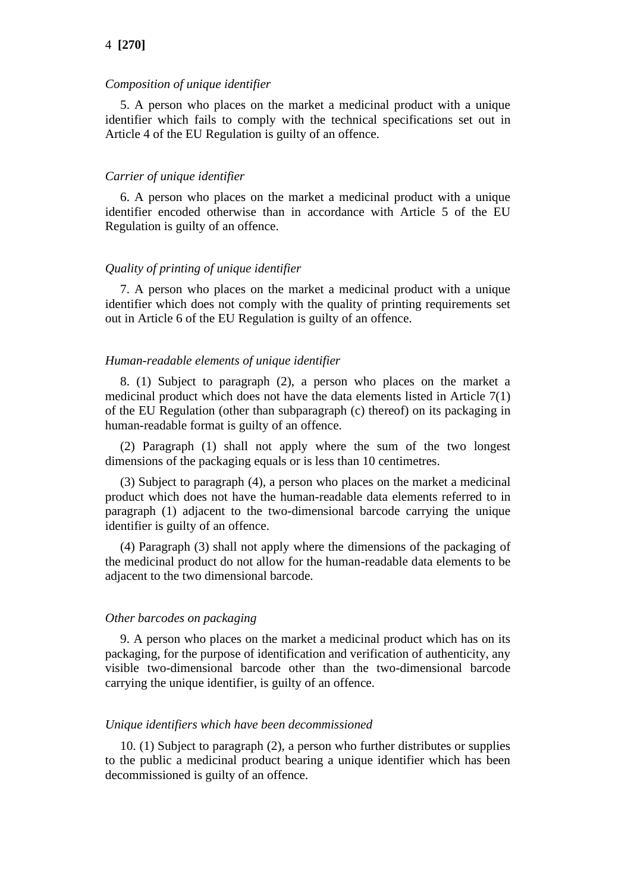#### *Composition of unique identifier*

5. A person who places on the market a medicinal product with a unique identifier which fails to comply with the technical specifications set out in Article 4 of the EU Regulation is guilty of an offence.

#### *Carrier of unique identifier*

6. A person who places on the market a medicinal product with a unique identifier encoded otherwise than in accordance with Article 5 of the EU Regulation is guilty of an offence.

### *Quality of printing of unique identifier*

7. A person who places on the market a medicinal product with a unique identifier which does not comply with the quality of printing requirements set out in Article 6 of the EU Regulation is guilty of an offence.

#### *Human-readable elements of unique identifier*

8. (1) Subject to paragraph (2), a person who places on the market a medicinal product which does not have the data elements listed in Article 7(1) of the EU Regulation (other than subparagraph (c) thereof) on its packaging in human-readable format is guilty of an offence.

(2) Paragraph (1) shall not apply where the sum of the two longest dimensions of the packaging equals or is less than 10 centimetres.

(3) Subject to paragraph (4), a person who places on the market a medicinal product which does not have the human-readable data elements referred to in paragraph (1) adjacent to the two-dimensional barcode carrying the unique identifier is guilty of an offence.

(4) Paragraph (3) shall not apply where the dimensions of the packaging of the medicinal product do not allow for the human-readable data elements to be adjacent to the two dimensional barcode.

#### *Other barcodes on packaging*

9. A person who places on the market a medicinal product which has on its packaging, for the purpose of identification and verification of authenticity, any visible two-dimensional barcode other than the two-dimensional barcode carrying the unique identifier, is guilty of an offence.

#### *Unique identifiers which have been decommissioned*

10. (1) Subject to paragraph (2), a person who further distributes or supplies to the public a medicinal product bearing a unique identifier which has been decommissioned is guilty of an offence.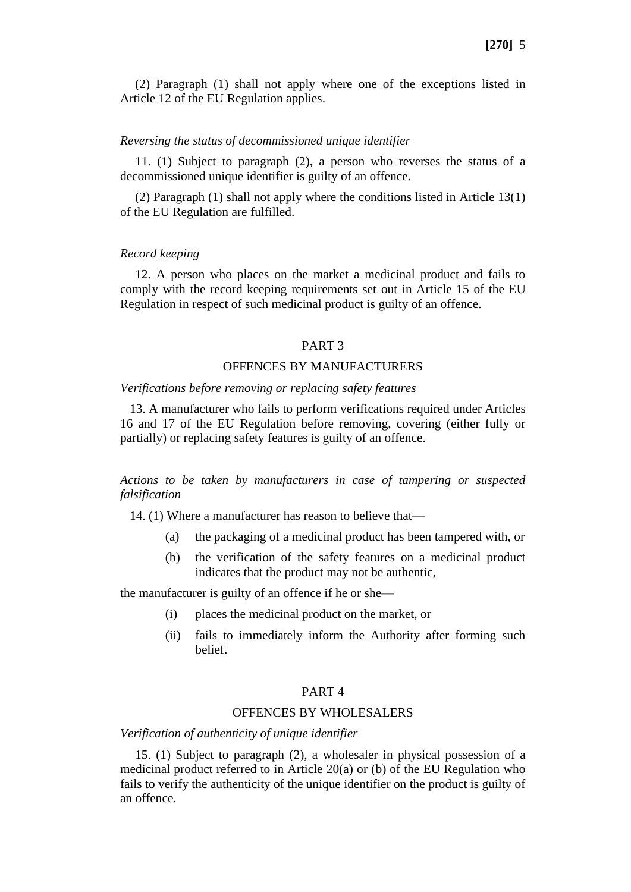(2) Paragraph (1) shall not apply where one of the exceptions listed in Article 12 of the EU Regulation applies.

#### *Reversing the status of decommissioned unique identifier*

11. (1) Subject to paragraph (2), a person who reverses the status of a decommissioned unique identifier is guilty of an offence.

(2) Paragraph (1) shall not apply where the conditions listed in Article 13(1) of the EU Regulation are fulfilled.

### *Record keeping*

12. A person who places on the market a medicinal product and fails to comply with the record keeping requirements set out in Article 15 of the EU Regulation in respect of such medicinal product is guilty of an offence.

### PART 3

## OFFENCES BY MANUFACTURERS

#### *Verifications before removing or replacing safety features*

13. A manufacturer who fails to perform verifications required under Articles 16 and 17 of the EU Regulation before removing, covering (either fully or partially) or replacing safety features is guilty of an offence.

*Actions to be taken by manufacturers in case of tampering or suspected falsification*

14. (1) Where a manufacturer has reason to believe that—

- (a) the packaging of a medicinal product has been tampered with, or
- (b) the verification of the safety features on a medicinal product indicates that the product may not be authentic,

the manufacturer is guilty of an offence if he or she—

- (i) places the medicinal product on the market, or
- (ii) fails to immediately inform the Authority after forming such belief.

### PART 4

## OFFENCES BY WHOLESALERS

*Verification of authenticity of unique identifier* 

15. (1) Subject to paragraph (2), a wholesaler in physical possession of a medicinal product referred to in Article 20(a) or (b) of the EU Regulation who fails to verify the authenticity of the unique identifier on the product is guilty of an offence.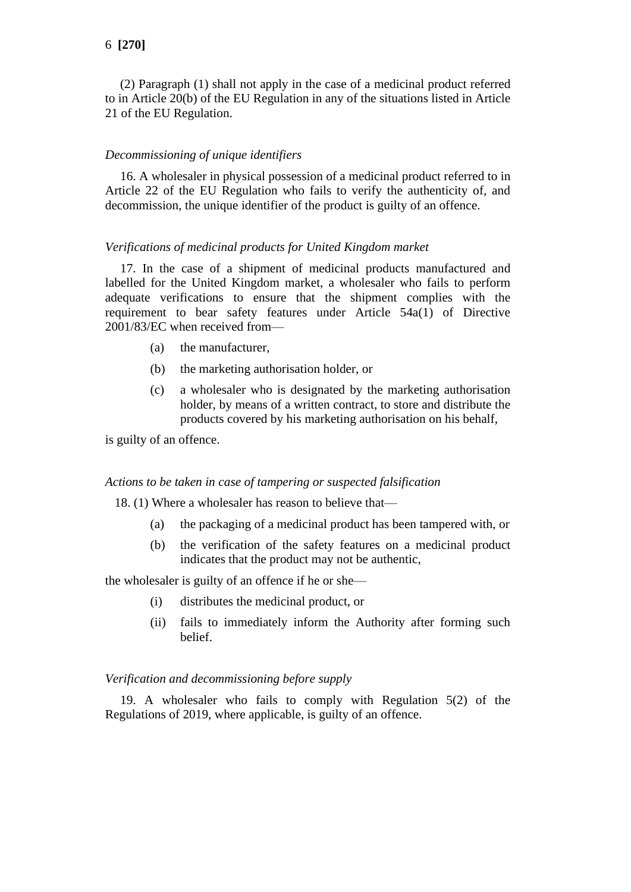(2) Paragraph (1) shall not apply in the case of a medicinal product referred to in Article 20(b) of the EU Regulation in any of the situations listed in Article 21 of the EU Regulation.

## *Decommissioning of unique identifiers*

16. A wholesaler in physical possession of a medicinal product referred to in Article 22 of the EU Regulation who fails to verify the authenticity of, and decommission, the unique identifier of the product is guilty of an offence.

### *Verifications of medicinal products for United Kingdom market*

17. In the case of a shipment of medicinal products manufactured and labelled for the United Kingdom market, a wholesaler who fails to perform adequate verifications to ensure that the shipment complies with the requirement to bear safety features under Article 54a(1) of Directive 2001/83/EC when received from—

- (a) the manufacturer,
- (b) the marketing authorisation holder, or
- (c) a wholesaler who is designated by the marketing authorisation holder, by means of a written contract, to store and distribute the products covered by his marketing authorisation on his behalf,

is guilty of an offence.

#### *Actions to be taken in case of tampering or suspected falsification*

18. (1) Where a wholesaler has reason to believe that—

- (a) the packaging of a medicinal product has been tampered with, or
- (b) the verification of the safety features on a medicinal product indicates that the product may not be authentic,

the wholesaler is guilty of an offence if he or she—

- (i) distributes the medicinal product, or
- (ii) fails to immediately inform the Authority after forming such belief.

## *Verification and decommissioning before supply*

19. A wholesaler who fails to comply with Regulation 5(2) of the Regulations of 2019, where applicable, is guilty of an offence.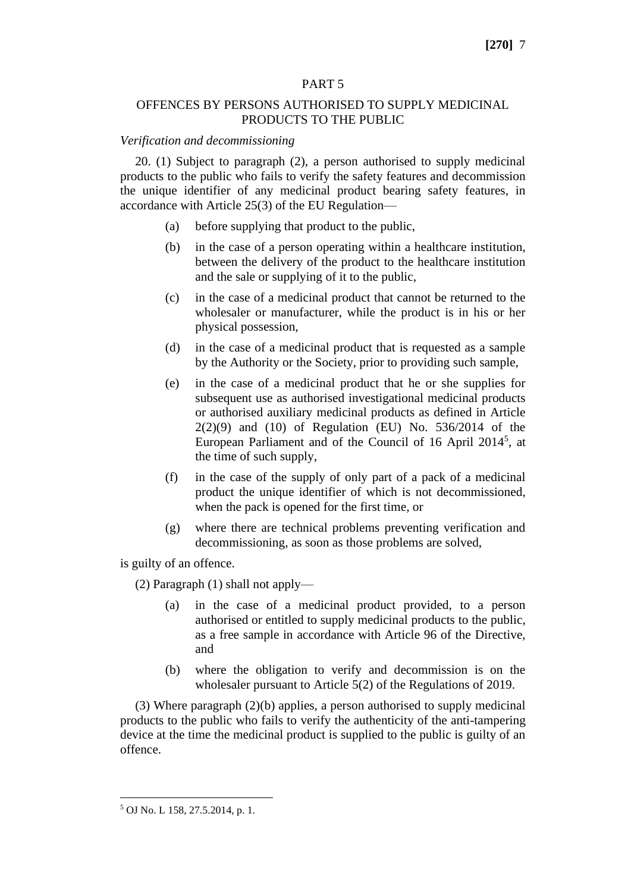### PART 5

## OFFENCES BY PERSONS AUTHORISED TO SUPPLY MEDICINAL PRODUCTS TO THE PUBLIC

### *Verification and decommissioning*

20. (1) Subject to paragraph (2), a person authorised to supply medicinal products to the public who fails to verify the safety features and decommission the unique identifier of any medicinal product bearing safety features, in accordance with Article 25(3) of the EU Regulation—

- (a) before supplying that product to the public,
- (b) in the case of a person operating within a healthcare institution, between the delivery of the product to the healthcare institution and the sale or supplying of it to the public,
- (c) in the case of a medicinal product that cannot be returned to the wholesaler or manufacturer, while the product is in his or her physical possession,
- (d) in the case of a medicinal product that is requested as a sample by the Authority or the Society, prior to providing such sample,
- (e) in the case of a medicinal product that he or she supplies for subsequent use as authorised investigational medicinal products or authorised auxiliary medicinal products as defined in Article 2(2)(9) and (10) of Regulation (EU) No. 536/2014 of the European Parliament and of the Council of 16 April 2014<sup>5</sup>, at the time of such supply,
- (f) in the case of the supply of only part of a pack of a medicinal product the unique identifier of which is not decommissioned, when the pack is opened for the first time, or
- (g) where there are technical problems preventing verification and decommissioning, as soon as those problems are solved,

is guilty of an offence.

(2) Paragraph (1) shall not apply—

- (a) in the case of a medicinal product provided, to a person authorised or entitled to supply medicinal products to the public, as a free sample in accordance with Article 96 of the Directive, and
- (b) where the obligation to verify and decommission is on the wholesaler pursuant to Article 5(2) of the Regulations of 2019.

(3) Where paragraph (2)(b) applies, a person authorised to supply medicinal products to the public who fails to verify the authenticity of the anti-tampering device at the time the medicinal product is supplied to the public is guilty of an offence.

<sup>5</sup> OJ No. L 158, 27.5.2014, p. 1.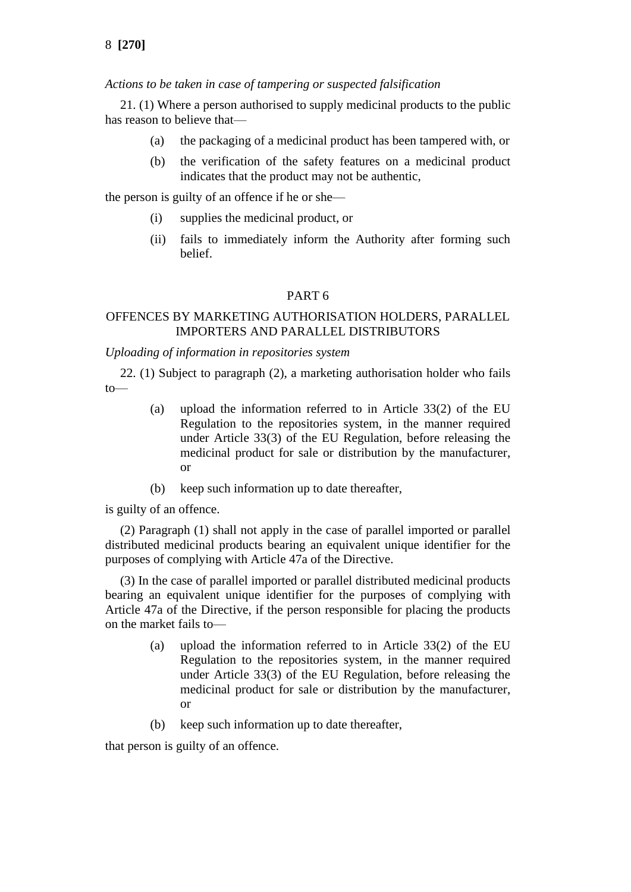8 **[270]**

*Actions to be taken in case of tampering or suspected falsification*

21. (1) Where a person authorised to supply medicinal products to the public has reason to believe that—

- (a) the packaging of a medicinal product has been tampered with, or
- (b) the verification of the safety features on a medicinal product indicates that the product may not be authentic,

the person is guilty of an offence if he or she—

- (i) supplies the medicinal product, or
- (ii) fails to immediately inform the Authority after forming such belief.

## PART 6

## OFFENCES BY MARKETING AUTHORISATION HOLDERS, PARALLEL IMPORTERS AND PARALLEL DISTRIBUTORS

## *Uploading of information in repositories system*

22. (1) Subject to paragraph (2), a marketing authorisation holder who fails to—

- (a) upload the information referred to in Article 33(2) of the EU Regulation to the repositories system, in the manner required under Article 33(3) of the EU Regulation, before releasing the medicinal product for sale or distribution by the manufacturer, or
- (b) keep such information up to date thereafter,

is guilty of an offence.

(2) Paragraph (1) shall not apply in the case of parallel imported or parallel distributed medicinal products bearing an equivalent unique identifier for the purposes of complying with Article 47a of the Directive.

(3) In the case of parallel imported or parallel distributed medicinal products bearing an equivalent unique identifier for the purposes of complying with Article 47a of the Directive, if the person responsible for placing the products on the market fails to—

- (a) upload the information referred to in Article 33(2) of the EU Regulation to the repositories system, in the manner required under Article 33(3) of the EU Regulation, before releasing the medicinal product for sale or distribution by the manufacturer, or
- (b) keep such information up to date thereafter,

that person is guilty of an offence.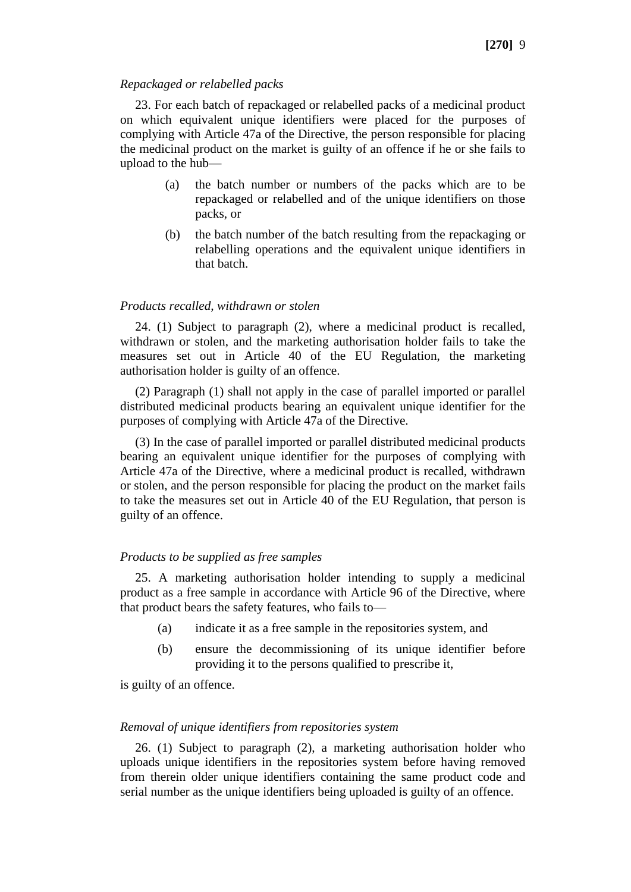#### *Repackaged or relabelled packs*

23. For each batch of repackaged or relabelled packs of a medicinal product on which equivalent unique identifiers were placed for the purposes of complying with Article 47a of the Directive, the person responsible for placing the medicinal product on the market is guilty of an offence if he or she fails to upload to the hub—

- (a) the batch number or numbers of the packs which are to be repackaged or relabelled and of the unique identifiers on those packs, or
- (b) the batch number of the batch resulting from the repackaging or relabelling operations and the equivalent unique identifiers in that batch.

#### *Products recalled, withdrawn or stolen*

24. (1) Subject to paragraph (2), where a medicinal product is recalled, withdrawn or stolen, and the marketing authorisation holder fails to take the measures set out in Article 40 of the EU Regulation, the marketing authorisation holder is guilty of an offence.

(2) Paragraph (1) shall not apply in the case of parallel imported or parallel distributed medicinal products bearing an equivalent unique identifier for the purposes of complying with Article 47a of the Directive.

(3) In the case of parallel imported or parallel distributed medicinal products bearing an equivalent unique identifier for the purposes of complying with Article 47a of the Directive, where a medicinal product is recalled, withdrawn or stolen, and the person responsible for placing the product on the market fails to take the measures set out in Article 40 of the EU Regulation, that person is guilty of an offence.

#### *Products to be supplied as free samples*

25. A marketing authorisation holder intending to supply a medicinal product as a free sample in accordance with Article 96 of the Directive, where that product bears the safety features, who fails to—

- (a) indicate it as a free sample in the repositories system, and
- (b) ensure the decommissioning of its unique identifier before providing it to the persons qualified to prescribe it,

is guilty of an offence.

## *Removal of unique identifiers from repositories system*

26. (1) Subject to paragraph (2), a marketing authorisation holder who uploads unique identifiers in the repositories system before having removed from therein older unique identifiers containing the same product code and serial number as the unique identifiers being uploaded is guilty of an offence.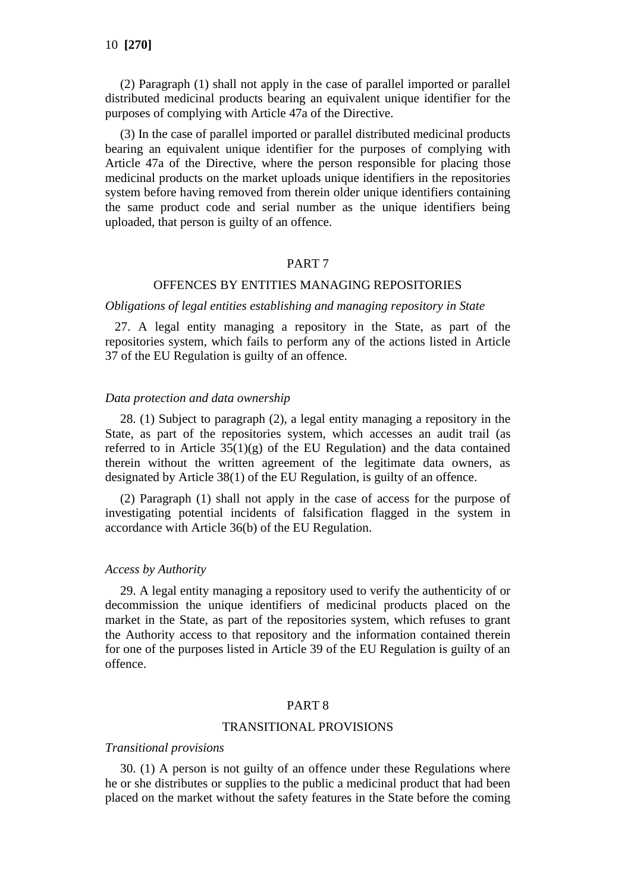(2) Paragraph (1) shall not apply in the case of parallel imported or parallel distributed medicinal products bearing an equivalent unique identifier for the purposes of complying with Article 47a of the Directive.

(3) In the case of parallel imported or parallel distributed medicinal products bearing an equivalent unique identifier for the purposes of complying with Article 47a of the Directive, where the person responsible for placing those medicinal products on the market uploads unique identifiers in the repositories system before having removed from therein older unique identifiers containing the same product code and serial number as the unique identifiers being uploaded, that person is guilty of an offence.

### PART 7

## OFFENCES BY ENTITIES MANAGING REPOSITORIES

#### *Obligations of legal entities establishing and managing repository in State*

27. A legal entity managing a repository in the State, as part of the repositories system, which fails to perform any of the actions listed in Article 37 of the EU Regulation is guilty of an offence.

#### *Data protection and data ownership*

28. (1) Subject to paragraph (2), a legal entity managing a repository in the State, as part of the repositories system, which accesses an audit trail (as referred to in Article  $35(1)(g)$  of the EU Regulation) and the data contained therein without the written agreement of the legitimate data owners, as designated by Article 38(1) of the EU Regulation, is guilty of an offence.

(2) Paragraph (1) shall not apply in the case of access for the purpose of investigating potential incidents of falsification flagged in the system in accordance with Article 36(b) of the EU Regulation.

#### *Access by Authority*

29. A legal entity managing a repository used to verify the authenticity of or decommission the unique identifiers of medicinal products placed on the market in the State, as part of the repositories system, which refuses to grant the Authority access to that repository and the information contained therein for one of the purposes listed in Article 39 of the EU Regulation is guilty of an offence.

## PART 8

## TRANSITIONAL PROVISIONS

#### *Transitional provisions*

30. (1) A person is not guilty of an offence under these Regulations where he or she distributes or supplies to the public a medicinal product that had been placed on the market without the safety features in the State before the coming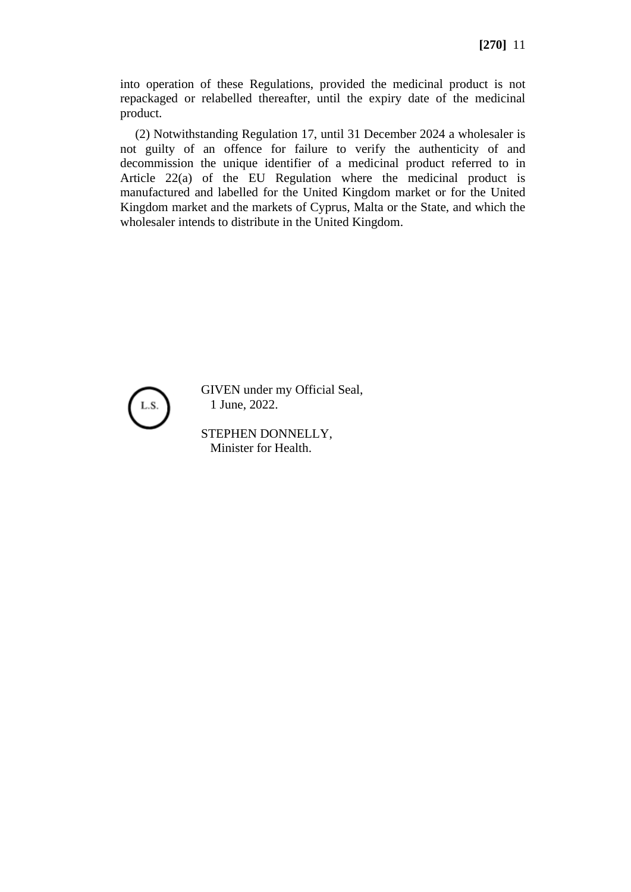into operation of these Regulations, provided the medicinal product is not repackaged or relabelled thereafter, until the expiry date of the medicinal product.

(2) Notwithstanding Regulation 17, until 31 December 2024 a wholesaler is not guilty of an offence for failure to verify the authenticity of and decommission the unique identifier of a medicinal product referred to in Article 22(a) of the EU Regulation where the medicinal product is manufactured and labelled for the United Kingdom market or for the United Kingdom market and the markets of Cyprus, Malta or the State, and which the wholesaler intends to distribute in the United Kingdom.



GIVEN under my Official Seal, 1 June, 2022.

STEPHEN DONNELLY, Minister for Health.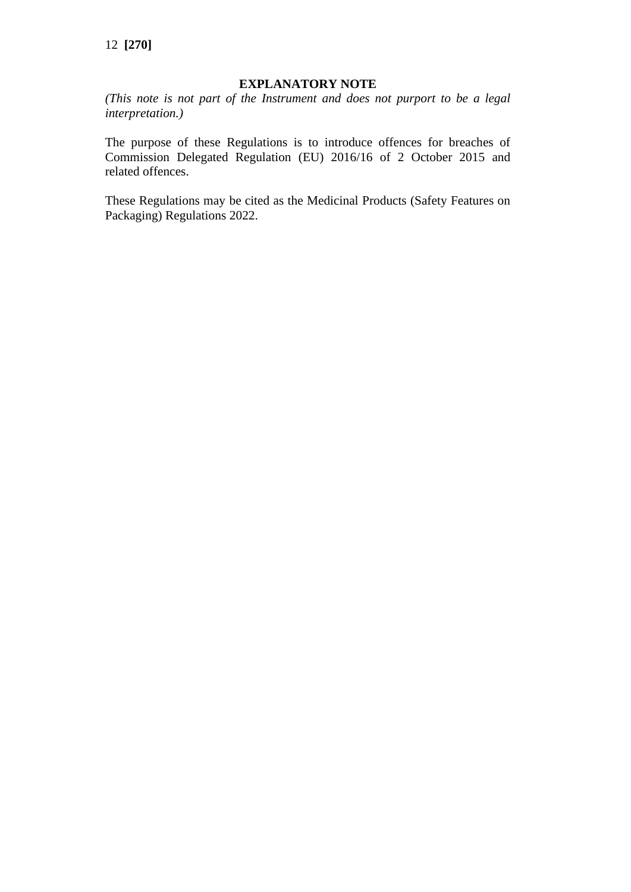## **EXPLANATORY NOTE**

*(This note is not part of the Instrument and does not purport to be a legal interpretation.)*

The purpose of these Regulations is to introduce offences for breaches of Commission Delegated Regulation (EU) 2016/16 of 2 October 2015 and related offences.

These Regulations may be cited as the Medicinal Products (Safety Features on Packaging) Regulations 2022.